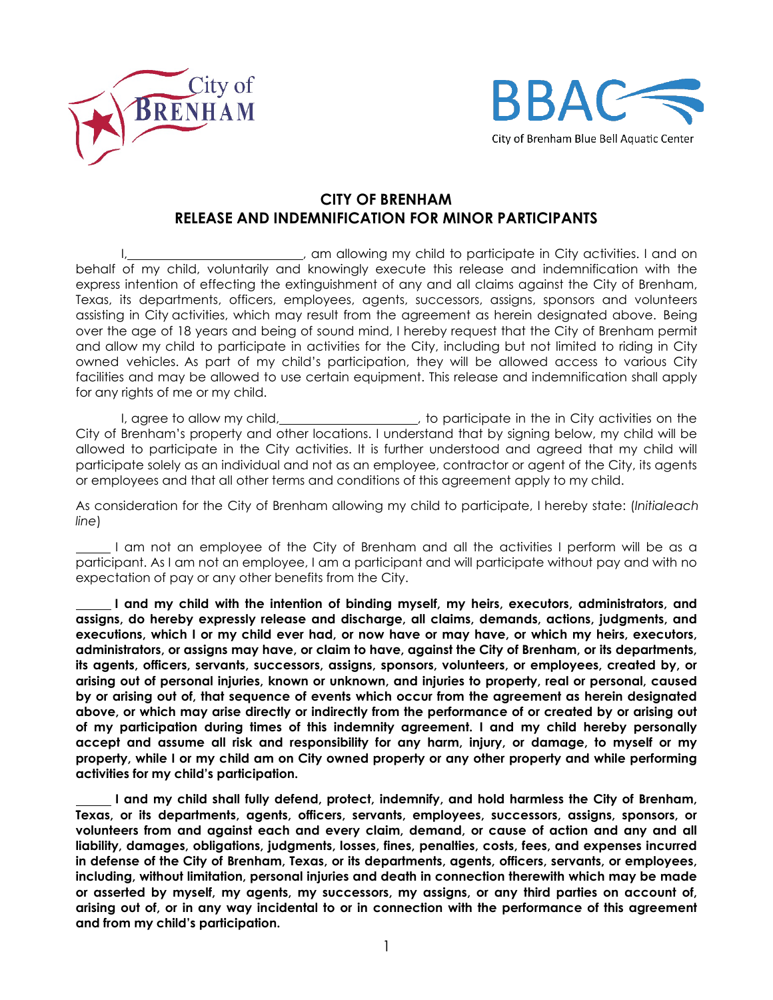



## **CITY OF BRENHAM RELEASE AND INDEMNIFICATION FOR MINOR PARTICIPANTS**

I, am allowing my child to participate in City activities. I and on behalf of my child, voluntarily and knowingly execute this release and indemnification with the express intention of effecting the extinguishment of any and all claims against the City of Brenham, Texas, its departments, officers, employees, agents, successors, assigns, sponsors and volunteers assisting in City activities, which may result from the agreement as herein designated above. Being over the age of 18 years and being of sound mind, I hereby request that the City of Brenham permit and allow my child to participate in activities for the City, including but not limited to riding in City owned vehicles. As part of my child's participation, they will be allowed access to various City facilities and may be allowed to use certain equipment. This release and indemnification shall apply for any rights of me or my child.

I, agree to allow my child, **contain the interpretetal containst a**, to participate in the in City activities on the City of Brenham's property and other locations. I understand that by signing below, my child will be allowed to participate in the City activities. It is further understood and agreed that my child will participate solely as an individual and not as an employee, contractor or agent of the City, its agents or employees and that all other terms and conditions of this agreement apply to my child.

As consideration for the City of Brenham allowing my child to participate, I hereby state: (*Initialeach line*)

I am not an employee of the City of Brenham and all the activities I perform will be as a participant. As I am not an employee, I am a participant and will participate without pay and with no expectation of pay or any other benefits from the City.

 **I and my child with the intention of binding myself, my heirs, executors, administrators, and assigns, do hereby expressly release and discharge, all claims, demands, actions, judgments, and executions, which I or my child ever had, or now have or may have, or which my heirs, executors, administrators, or assigns may have, or claim to have, against the City of Brenham, or its departments, its agents, officers, servants, successors, assigns, sponsors, volunteers, or employees, created by, or arising out of personal injuries, known or unknown, and injuries to property, real or personal, caused by or arising out of, that sequence of events which occur from the agreement as herein designated above, or which may arise directly or indirectly from the performance of or created by or arising out of my participation during times of this indemnity agreement. I and my child hereby personally accept and assume all risk and responsibility for any harm, injury, or damage, to myself or my property, while I or my child am on City owned property or any other property and while performing activities for my child's participation.**

 **I and my child shall fully defend, protect, indemnify, and hold harmless the City of Brenham, Texas, or its departments, agents, officers, servants, employees, successors, assigns, sponsors, or volunteers from and against each and every claim, demand, or cause of action and any and all liability, damages, obligations, judgments, losses, fines, penalties, costs, fees, and expenses incurred in defense of the City of Brenham, Texas, or its departments, agents, officers, servants, or employees, including, without limitation, personal injuries and death in connection therewith which may be made or asserted by myself, my agents, my successors, my assigns, or any third parties on account of, arising out of, or in any way incidental to or in connection with the performance of this agreement and from my child's participation.**